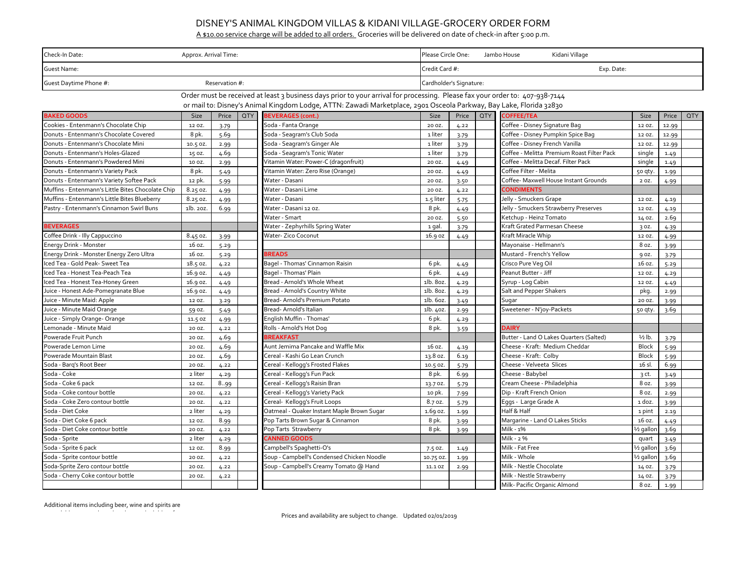| Check-In Date:<br>Approx. Arrival Time:                                                                                                                                                                                                            |          |       |            |                                            | Please Circle One:<br>Kidani Village<br>Jambo House |                              |            |                                            |                      |       |            |  |
|----------------------------------------------------------------------------------------------------------------------------------------------------------------------------------------------------------------------------------------------------|----------|-------|------------|--------------------------------------------|-----------------------------------------------------|------------------------------|------------|--------------------------------------------|----------------------|-------|------------|--|
| <b>Guest Name:</b>                                                                                                                                                                                                                                 |          |       |            |                                            |                                                     | Credit Card #:<br>Exp. Date: |            |                                            |                      |       |            |  |
| Guest Daytime Phone #:<br>Reservation #:                                                                                                                                                                                                           |          |       |            |                                            |                                                     | Cardholder's Signature:      |            |                                            |                      |       |            |  |
| Order must be received at least 3 business days prior to your arrival for processing. Please fax your order to: 407-938-7144<br>or mail to: Disney's Animal Kingdom Lodge, ATTN: Zawadi Marketplace, 2901 Osceola Parkway, Bay Lake, Florida 32830 |          |       |            |                                            |                                                     |                              |            |                                            |                      |       |            |  |
| <b>BAKED GOODS</b>                                                                                                                                                                                                                                 | Size     | Price | <b>QTY</b> | <b>BEVERAGES (cont.)</b>                   | <b>Size</b>                                         | Price                        | <b>QTY</b> | <b>COFFEE/TEA</b>                          | Size                 | Price | <b>QTY</b> |  |
| Cookies - Entenmann's Chocolate Chip                                                                                                                                                                                                               | 12 OZ.   | 3.79  |            | Soda - Fanta Orange                        | 20 OZ.                                              | 4.22                         |            | Coffee - Disney Signature Bag              | 12 OZ.               | 12.99 |            |  |
| Donuts - Entenmann's Chocolate Covered                                                                                                                                                                                                             | 8 pk.    | 5.69  |            | Soda - Seagram's Club Soda                 | 1 liter                                             | 3.79                         |            | Coffee - Disney Pumpkin Spice Bag          | 12 OZ.               | 12.99 |            |  |
| Donuts - Entenmann's Chocolate Mini                                                                                                                                                                                                                | 10.5 OZ. | 2.99  |            | Soda - Seagram's Ginger Ale                | 1 liter                                             | 3.79                         |            | Coffee - Disney French Vanilla             | 12 OZ.               | 12.99 |            |  |
| Donuts - Entenmann's Holes-Glazed                                                                                                                                                                                                                  | 15 oz.   | 4.69  |            | Soda - Seagram's Tonic Water               | 1 liter                                             | 3.79                         |            | Coffee - Melitta Premium Roast Filter Pack | single               | 1.49  |            |  |
| Donuts - Entenmann's Powdered Mini                                                                                                                                                                                                                 | 10 OZ.   | 2.99  |            | Vitamin Water: Power-C (dragonfruit)       | 20 OZ.                                              | 4.49                         |            | Coffee - Melitta Decaf. Filter Pack        | single               | 1.49  |            |  |
| Donuts - Entenmann's Variety Pack                                                                                                                                                                                                                  | 8 pk.    | 5.49  |            | Vitamin Water: Zero Rise (Orange)          | 20 OZ.                                              | 4.49                         |            | Coffee Filter - Melita                     | 50 qty               | 1.99  |            |  |
| Donuts - Entenmann's Variety Softee Pack                                                                                                                                                                                                           | 12 pk.   | 5.99  |            | Water - Dasani                             | 20 OZ.                                              | 3.50                         |            | Coffee- Maxwell House Instant Grounds      | 2 OZ.                | 4.99  |            |  |
| Muffins - Entenmann's Little Bites Chocolate Chip                                                                                                                                                                                                  | 8.25 oz. | 4.99  |            | Water - Dasani Lime                        | 20 OZ.                                              | 4.22                         |            | <b>CONDIMENTS</b>                          |                      |       |            |  |
| Muffins - Entenmann's Little Bites Blueberry                                                                                                                                                                                                       | 8.25 oz. | 4.99  |            | Water - Dasani                             | 1.5 liter                                           | 5.75                         |            | Jelly - Smuckers Grape                     | 12 OZ.               | 4.19  |            |  |
| Pastry - Entenmann's Cinnamon Swirl Buns                                                                                                                                                                                                           | 1b. 20Z. | 6.99  |            | Water - Dasani 12 oz.                      | 8 pk.                                               | 4.49                         |            | Jelly - Smuckers Strawberry Preserves      | 12 OZ.               | 4.19  |            |  |
|                                                                                                                                                                                                                                                    |          |       |            | Water - Smart                              | 20 OZ.                                              | 5.50                         |            | Ketchup - Heinz Tomato                     | 14 OZ.               | 2.69  |            |  |
| <b>BEVERAGES</b>                                                                                                                                                                                                                                   |          |       |            | Water - Zephyrhills Spring Water           | 1 gal.                                              | 3.79                         |            | Kraft Grated Parmesan Cheese               | 3 oz.                | 4.39  |            |  |
| Coffee Drink - Illy Cappuccino                                                                                                                                                                                                                     | 8.45 oz. | 3.99  |            | <b>Water- Zico Coconut</b>                 | 16.9 oz                                             | 4.49                         |            | Kraft Miracle Whip                         | 12 OZ.               | 4.99  |            |  |
| <b>Energy Drink - Monster</b>                                                                                                                                                                                                                      | 16 oz.   | 5.29  |            |                                            |                                                     |                              |            | Mayonaise - Hellmann's                     | 8 oz.                | 3.99  |            |  |
| Energy Drink - Monster Energy Zero Ultra                                                                                                                                                                                                           | 16 oz.   | 5.29  |            | <b>BREADS</b>                              |                                                     |                              |            | Mustard - French's Yellow                  | 9 oz.                | 3.79  |            |  |
| Iced Tea - Gold Peak- Sweet Tea                                                                                                                                                                                                                    | 18.5 oz. | 4.22  |            | Bagel - Thomas' Cinnamon Raisin            | 6 pk.                                               | 4.49                         |            | Crisco Pure Veg Oil                        | 16 oz.               | 5.29  |            |  |
| Iced Tea - Honest Tea-Peach Tea                                                                                                                                                                                                                    | 16.9 oz. | 4.49  |            | Bagel - Thomas' Plain                      | 6 pk.                                               | 4.49                         |            | Peanut Butter - Jiff                       | 12 OZ.               | 4.29  |            |  |
| Iced Tea - Honest Tea-Honey Green                                                                                                                                                                                                                  | 16.9 oz. | 4.49  |            | Bread - Arnold's Whole Wheat               | 1b. 80z.                                            | 4.29                         |            | Syrup - Log Cabin                          | 12 OZ.               | 4.49  |            |  |
| Juice - Honest Ade-Pomegranate Blue                                                                                                                                                                                                                | 16.9 oz. | 4.49  |            | Bread - Arnold's Country White             | 1b. 80z.                                            | 4.29                         |            | Salt and Pepper Shakers                    | pkg.                 | 2.99  |            |  |
| Juice - Minute Maid: Apple                                                                                                                                                                                                                         | 12 OZ.   | 3.29  |            | Bread- Arnold's Premium Potato             | 1lb. 60z.                                           | 3.49                         |            | Sugar                                      | 20 OZ                | 3.99  |            |  |
| Juice - Minute Maid Orange                                                                                                                                                                                                                         | 59 oz.   | 5.49  |            | Bread-Arnold's Italian                     | 1b. 40z.                                            | 2.99                         |            | Sweetener - N'joy-Packets                  | 50 qty               | 3.69  |            |  |
| Juice - Simply Orange- Orange                                                                                                                                                                                                                      | 11.5 OZ  | 4.99  |            | English Muffin - Thomas'                   | 6 pk.                                               | 4.29                         |            |                                            |                      |       |            |  |
| Lemonade - Minute Maid                                                                                                                                                                                                                             | 20 OZ.   | 4.22  |            | Rolls - Arnold's Hot Dog                   | 8 pk.                                               | 3.59                         |            | <b>DAIRY</b>                               |                      |       |            |  |
| Powerade Fruit Punch                                                                                                                                                                                                                               | 20 OZ.   | 4.69  |            | <b>BREAKFAST</b>                           |                                                     |                              |            | Butter - Land O Lakes Quarters (Salted)    | $\frac{1}{2}$ lb.    | 3.79  |            |  |
| Powerade Lemon Lime                                                                                                                                                                                                                                | 20 OZ.   | 4.69  |            | Aunt Jemima Pancake and Waffle Mix         | 16 oz.                                              | 4.19                         |            | Cheese - Kraft: Medium Cheddar             | <b>Block</b>         | 5.99  |            |  |
| Powerade Mountain Blast                                                                                                                                                                                                                            | 20 OZ.   | 4.69  |            | Cereal - Kashi Go Lean Crunch              | 13.8 oz.                                            | 6.19                         |            | Cheese - Kraft: Colby                      | <b>Block</b>         | 5.99  |            |  |
| Soda - Barq's Root Beer                                                                                                                                                                                                                            | 20 OZ.   | 4.22  |            | Cereal - Kellogg's Frosted Flakes          | 10.5 OZ.                                            | 5.79                         |            | Cheese - Velveeta Slices                   | 16 sl.               | 6.99  |            |  |
| Soda - Coke                                                                                                                                                                                                                                        | 2 liter  | 4.29  |            | Cereal - Kellogg's Fun Pack                | 8 pk.                                               | 6.99                         |            | Cheese - Babybel                           | 3 ct.                | 3.49  |            |  |
| Soda - Coke 6 pack                                                                                                                                                                                                                                 | 12 OZ.   | 8.99  |            | Cereal - Kellogg's Raisin Bran             | 13.7 OZ.                                            | 5.79                         |            | Cream Cheese - Philadelphia                | 8 oz.                | 3.99  |            |  |
| Soda - Coke contour bottle                                                                                                                                                                                                                         | 20 OZ.   | 4.22  |            | Cereal - Kellogg's Variety Pack            | 10 pk.                                              | 7.99                         |            | Dip - Kraft French Onion                   | 8 oz.                | 2.99  |            |  |
| Soda - Coke Zero contour bottle                                                                                                                                                                                                                    | 20 OZ.   | 4.22  |            | Cereal- Kellogg's Fruit Loops              | 8.7 oz.                                             | 5.79                         |            | Eggs - Large Grade A                       | 1 doz.               | 3.99  |            |  |
| Soda - Diet Coke                                                                                                                                                                                                                                   | 2 liter  | 4.29  |            | Oatmeal - Quaker Instant Maple Brown Sugar | 1.69 oz.                                            | 1.99                         |            | Half & Half                                | 1 pint               | 2.19  |            |  |
| Soda - Diet Coke 6 pack                                                                                                                                                                                                                            | 12 OZ.   | 8.99  |            | Pop Tarts Brown Sugar & Cinnamon           | 8 pk.                                               | 3.99                         |            | Margarine - Land O Lakes Sticks            | 16 oz.               | 4.49  |            |  |
| Soda - Diet Coke contour bottle                                                                                                                                                                                                                    | 20 OZ.   | 4.22  |            | Pop Tarts Strawberry                       | 8 pk.                                               | 3.99                         |            | Milk - 1%                                  | $\frac{1}{2}$ gallon | 3.69  |            |  |
| Soda - Sprite                                                                                                                                                                                                                                      | 2 liter  | 4.29  |            | <b>CANNED GOODS</b>                        |                                                     |                              |            | Milk - 2 %                                 | quart                | 3.49  |            |  |
| Soda - Sprite 6 pack                                                                                                                                                                                                                               | 12 OZ.   | 8.99  |            | Campbell's Spaghetti-O's                   | 7.5 oz.                                             | 1.49                         |            | Milk - Fat Free                            | $\frac{1}{2}$ gallon | 3.69  |            |  |
| Soda - Sprite contour bottle                                                                                                                                                                                                                       | 20 OZ.   | 4.22  |            | Soup - Campbell's Condensed Chicken Noodle | 10.75 0Z.                                           | 1.99                         |            | Milk - Whole                               | $\frac{1}{2}$ gallon | 3.69  |            |  |
| Soda-Sprite Zero contour bottle                                                                                                                                                                                                                    | 20 OZ.   | 4.22  |            | Soup - Campbell's Creamy Tomato @ Hand     | 11.1 OZ                                             | 2.99                         |            | Milk - Nestle Chocolate                    | 14 OZ.               | 3.79  |            |  |
| Soda - Cherry Coke contour bottle                                                                                                                                                                                                                  | 20 OZ.   | 4.22  |            |                                            |                                                     |                              |            | Milk - Nestle Strawberry                   | 14 OZ.               | 3.79  |            |  |
|                                                                                                                                                                                                                                                    |          |       |            |                                            |                                                     |                              |            | Milk- Pacific Organic Almond               | 8 oz.                | 1.99  |            |  |

Additional items including beer, wine and spirits are

## DISNEY'S ANIMAL KINGDOM VILLAS & KIDANI VILLAGE-GROCERY ORDER FORM

A \$10.00 service charge will be added to all orders. Groceries will be delivered on date of check-in after 5:00 p.m.